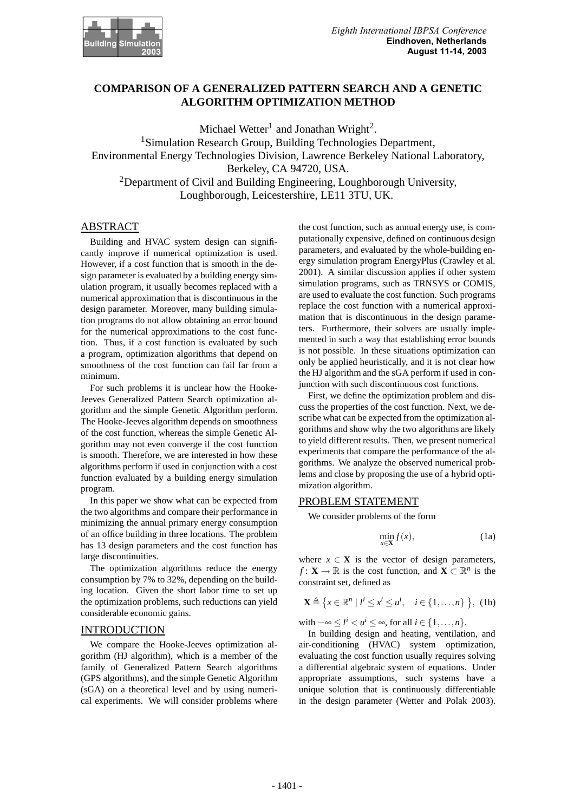

# **COMPARISON OF A GENERALIZED PATTERN SEARCH AND A GENETIC ALGORITHM OPTIMIZATION METHOD**

Michael Wetter<sup>1</sup> and Jonathan Wright<sup>2</sup>. <sup>1</sup>Simulation Research Group, Building Technologies Department, Environmental Energy Technologies Division, Lawrence Berkeley National Laboratory, Berkeley, CA 94720, USA. <sup>2</sup>Department of Civil and Building Engineering, Loughborough University, Loughborough, Leicestershire, LE11 3TU, UK.

# ABSTRACT

Building and HVAC system design can significantly improve if numerical optimization is used. However, if a cost function that is smooth in the design parameter is evaluated by a building energy simulation program, it usually becomes replaced with a numerical approximation that is discontinuous in the design parameter. Moreover, many building simulation programs do not allow obtaining an error bound for the numerical approximations to the cost function. Thus, if a cost function is evaluated by such a program, optimization algorithms that depend on smoothness of the cost function can fail far from a minimum.

For such problems it is unclear how the Hooke-Jeeves Generalized Pattern Search optimization algorithm and the simple Genetic Algorithm perform. The Hooke-Jeeves algorithm depends on smoothness of the cost function, whereas the simple Genetic Algorithm may not even converge if the cost function is smooth. Therefore, we are interested in how these algorithms perform if used in conjunction with a cost function evaluated by a building energy simulation program.

In this paper we show what can be expected from the two algorithms and compare their performance in minimizing the annual primary energy consumption of an office building in three locations. The problem has 13 design parameters and the cost function has large discontinuities.

The optimization algorithms reduce the energy consumption by 7% to 32%, depending on the building location. Given the short labor time to set up the optimization problems, such reductions can yield considerable economic gains.

### INTRODUCTION

We compare the Hooke-Jeeves optimization algorithm (HJ algorithm), which is a member of the family of Generalized Pattern Search algorithms (GPS algorithms), and the simple Genetic Algorithm (sGA) on a theoretical level and by using numerical experiments. We will consider problems where

the cost function, such as annual energy use, is computationally expensive, defined on continuous design parameters, and evaluated by the whole-building energy simulation program EnergyPlus (Crawley et al. 2001). A similar discussion applies if other system simulation programs, such as TRNSYS or COMIS, are used to evaluate the cost function. Such programs replace the cost function with a numerical approximation that is discontinuous in the design parameters. Furthermore, their solvers are usually implemented in such a way that establishing error bounds is not possible. In these situations optimization can only be applied heuristically, and it is not clear how the HJ algorithm and the sGA perform if used in conjunction with such discontinuous cost functions.

First, we define the optimization problem and discuss the properties of the cost function. Next, we describe what can be expected from the optimization algorithms and show why the two algorithms are likely to yield different results. Then, we present numerical experiments that compare the performance of the algorithms. We analyze the observed numerical problems and close by proposing the use of a hybrid optimization algorithm.

#### PROBLEM STATEMENT

We consider problems of the form

$$
\min_{x \in \mathbf{X}} f(x),\tag{1a}
$$

where  $x \in \mathbf{X}$  is the vector of design parameters, *f* : **X**  $\rightarrow \mathbb{R}$  is the cost function, and **X**  $\subset \mathbb{R}^n$  is the constraint set, defined as

$$
\mathbf{X} \triangleq \left\{ x \in \mathbb{R}^n \mid l^i \leq x^i \leq u^i, \quad i \in \{1, \dots, n\} \right\}, \text{ (1b)}
$$

with  $-\infty \leq l^i < u^i \leq \infty$ , for all  $i \in \{1, \ldots, n\}$ .

In building design and heating, ventilation, and air-conditioning (HVAC) system optimization, evaluating the cost function usually requires solving a differential algebraic system of equations. Under appropriate assumptions, such systems have a unique solution that is continuously differentiable in the design parameter (Wetter and Polak 2003).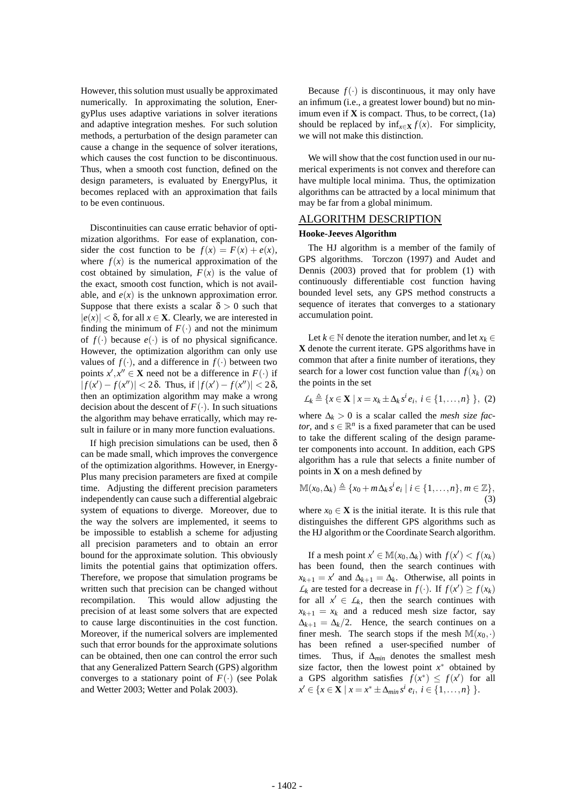However, this solution must usually be approximated numerically. In approximating the solution, EnergyPlus uses adaptive variations in solver iterations and adaptive integration meshes. For such solution methods, a perturbation of the design parameter can cause a change in the sequence of solver iterations, which causes the cost function to be discontinuous. Thus, when a smooth cost function, defined on the design parameters, is evaluated by EnergyPlus, it becomes replaced with an approximation that fails to be even continuous.

Discontinuities can cause erratic behavior of optimization algorithms. For ease of explanation, consider the cost function to be  $f(x) = F(x) + e(x)$ , where  $f(x)$  is the numerical approximation of the cost obtained by simulation,  $F(x)$  is the value of the exact, smooth cost function, which is not available, and  $e(x)$  is the unknown approximation error. Suppose that there exists a scalar  $\delta > 0$  such that  $|e(x)| < \delta$ , for all  $x \in \mathbf{X}$ . Clearly, we are interested in finding the minimum of  $F(\cdot)$  and not the minimum of  $f(.)$  because  $e(.)$  is of no physical significance. However, the optimization algorithm can only use values of  $f(.)$ , and a difference in  $f(.)$  between two points  $x', x'' \in \mathbf{X}$  need not be a difference in  $F(\cdot)$  if  $|f(x') - f(x'')| < 2\delta$ . Thus, if  $|f(x') - f(x'')| < 2\delta$ , then an optimization algorithm may make a wrong decision about the descent of  $F(.)$ . In such situations the algorithm may behave erratically, which may result in failure or in many more function evaluations.

If high precision simulations can be used, then  $\delta$ can be made small, which improves the convergence of the optimization algorithms. However, in Energy-Plus many precision parameters are fixed at compile time. Adjusting the different precision parameters independently can cause such a differential algebraic system of equations to diverge. Moreover, due to the way the solvers are implemented, it seems to be impossible to establish a scheme for adjusting all precision parameters and to obtain an error bound for the approximate solution. This obviously limits the potential gains that optimization offers. Therefore, we propose that simulation programs be written such that precision can be changed without recompilation. This would allow adjusting the precision of at least some solvers that are expected to cause large discontinuities in the cost function. Moreover, if the numerical solvers are implemented such that error bounds for the approximate solutions can be obtained, then one can control the error such that any Generalized Pattern Search (GPS) algorithm converges to a stationary point of  $F(\cdot)$  (see Polak and Wetter 2003; Wetter and Polak 2003).

Because  $f(.)$  is discontinuous, it may only have an infimum (i.e., a greatest lower bound) but no minimum even if  $X$  is compact. Thus, to be correct,  $(1a)$ should be replaced by  $\inf_{x \in \mathbf{X}} f(x)$ . For simplicity, we will not make this distinction.

We will show that the cost function used in our numerical experiments is not convex and therefore can have multiple local minima. Thus, the optimization algorithms can be attracted by a local minimum that may be far from a global minimum.

# ALGORITHM DESCRIPTION

### **Hooke-Jeeves Algorithm**

The HJ algorithm is a member of the family of GPS algorithms. Torczon (1997) and Audet and Dennis (2003) proved that for problem (1) with continuously differentiable cost function having bounded level sets, any GPS method constructs a sequence of iterates that converges to a stationary accumulation point.

Let  $k \in \mathbb{N}$  denote the iteration number, and let  $x_k \in \mathbb{N}$ **X** denote the current iterate. GPS algorithms have in common that after a finite number of iterations, they search for a lower cost function value than  $f(x_k)$  on the points in the set

$$
\mathcal{L}_k \triangleq \{x \in \mathbf{X} \mid x = x_k \pm \Delta_k s^i e_i, i \in \{1, \ldots, n\} \}, (2)
$$

where  $\Delta_k > 0$  is a scalar called the *mesh size factor*, and  $s \in \mathbb{R}^n$  is a fixed parameter that can be used to take the different scaling of the design parameter components into account. In addition, each GPS algorithm has a rule that selects a finite number of points in **X** on a mesh defined by

$$
\mathbb{M}(x_0,\Delta_k)\triangleq\{x_0+m\Delta_k s^i e_i\mid i\in\{1,\ldots,n\}, m\in\mathbb{Z}\},\tag{3}
$$

where  $x_0 \in \mathbf{X}$  is the initial iterate. It is this rule that distinguishes the different GPS algorithms such as the HJ algorithm or the Coordinate Search algorithm.

If a mesh point  $x' \in M(x_0, \Delta_k)$  with  $f(x') < f(x_k)$ has been found, then the search continues with  $x_{k+1} = x'$  and  $\Delta_{k+1} = \Delta_k$ . Otherwise, all points in  $L_k$  are tested for a decrease in  $f(\cdot)$ . If  $f(x') \ge f(x_k)$ for all  $x' \in L_k$ , then the search continues with  $x_{k+1} = x_k$  and a reduced mesh size factor, say  $\Delta_{k+1} = \Delta_k/2$ . Hence, the search continues on a finer mesh. The search stops if the mesh  $\mathbb{M}(x_0, \cdot)$ has been refined a user-specified number of times. Thus, if ∆*min* denotes the smallest mesh size factor, then the lowest point  $x^*$  obtained by a GPS algorithm satisfies  $f(x^*) \leq f(x')$  for all *x*<sup>*'*</sup> ∈ {*x* ∈ **X** | *x* = *x*<sup>\*</sup> ±∆*min*</sub> *s<sup>i</sup> e<sub>i</sub>*, *i* ∈ {1,...,*n*} }.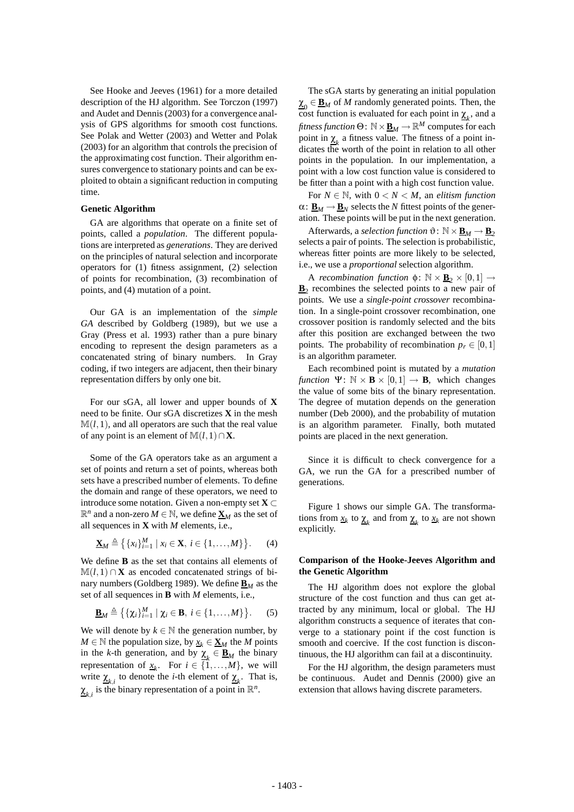See Hooke and Jeeves (1961) for a more detailed description of the HJ algorithm. See Torczon (1997) and Audet and Dennis (2003) for a convergence analysis of GPS algorithms for smooth cost functions. See Polak and Wetter (2003) and Wetter and Polak (2003) for an algorithm that controls the precision of the approximating cost function. Their algorithm ensures convergence to stationary points and can be exploited to obtain a significant reduction in computing time.

#### **Genetic Algorithm**

GA are algorithms that operate on a finite set of points, called a *population*. The different populations are interpreted as *generations*. They are derived on the principles of natural selection and incorporate operators for (1) fitness assignment, (2) selection of points for recombination, (3) recombination of points, and (4) mutation of a point.

Our GA is an implementation of the *simple GA* described by Goldberg (1989), but we use a Gray (Press et al. 1993) rather than a pure binary encoding to represent the design parameters as a concatenated string of binary numbers. In Gray coding, if two integers are adjacent, then their binary representation differs by only one bit.

For our sGA, all lower and upper bounds of **X** need to be finite. Our sGA discretizes **X** in the mesh  $M(l,1)$ , and all operators are such that the real value of any point is an element of  $\mathbb{M}(l,1)\cap \mathbf{X}$ .

Some of the GA operators take as an argument a set of points and return a set of points, whereas both sets have a prescribed number of elements. To define the domain and range of these operators, we need to introduce some notation. Given a non-empty set  $X \subset$  $\mathbb{R}^n$  and a non-zero  $M \in \mathbb{N}$ , we define  $\underline{\mathbf{X}}_M$  as the set of all sequences in **X** with *M* elements, i.e.,

$$
\underline{\mathbf{X}}_M \triangleq \left\{ \{x_i\}_{i=1}^M \mid x_i \in \mathbf{X}, i \in \{1, \ldots, M\} \right\}.
$$
 (4)

We define **B** as the set that contains all elements of  $M(l,1) \cap X$  as encoded concatenated strings of binary numbers (Goldberg 1989). We define  $\underline{\mathbf{B}}_M$  as the set of all sequences in **B** with *M* elements, i.e.,

$$
\underline{\mathbf{B}}_M \triangleq \left\{ \{ \chi_i \}_{i=1}^M \mid \chi_i \in \mathbf{B}, \ i \in \{1, \dots, M\} \right\}. \tag{5}
$$

We will denote by  $k \in \mathbb{N}$  the generation number, by *M* ∈ N the population size, by  $x_k$  ∈  $\mathbf{X}_M$  the *M* points in the *k*-th generation, and by  $\underline{\chi}_k \in \underline{\mathbf{B}}_M$  the binary representation of  $\underline{x}_k$ . For  $i \in \{1, ..., M\}$ , we will write  $\underline{\chi}_{k,i}$  to denote the *i*-th element of  $\underline{\chi}_k$ . That is,  $\chi_{k,i}$  is the binary representation of a point in  $\mathbb{R}^n$ .

The sGA starts by generating an initial population  $\underline{\chi}_0 \in \underline{\mathbf{B}}_M$  of *M* randomly generated points. Then, the cost function is evaluated for each point in  $\underline{\chi}_k$ , and a *fitness function* Θ:  $\mathbb{N} \times \underline{\mathbf{B}}_M \to \mathbb{R}^M$  computes for each point in  $\chi_k$  a fitness value. The fitness of a point indicates the worth of the point in relation to all other points in the population. In our implementation, a point with a low cost function value is considered to be fitter than a point with a high cost function value.

For  $N \in \mathbb{N}$ , with  $0 < N < M$ , an *elitism function*  $\alpha: \mathbf{B}_M \to \mathbf{B}_N$  selects the *N* fittest points of the generation. These points will be put in the next generation.

Afterwards, a *selection function*  $\vartheta$ :  $\mathbb{N} \times \underline{\mathbf{B}}_M \rightarrow \underline{\mathbf{B}}_2$ selects a pair of points. The selection is probabilistic, whereas fitter points are more likely to be selected, i.e., we use a *proportional* selection algorithm.

A *recombination function*  $\phi$ :  $\mathbb{N} \times \underline{\mathbf{B}}_2 \times [0,1] \rightarrow$  $\underline{\mathbf{B}}_2$  recombines the selected points to a new pair of points. We use a *single-point crossover* recombination. In a single-point crossover recombination, one crossover position is randomly selected and the bits after this position are exchanged between the two points. The probability of recombination  $p_r \in [0,1]$ is an algorithm parameter.

Each recombined point is mutated by a *mutation function*  $\Psi$ :  $\mathbb{N} \times \mathbf{B} \times [0,1] \rightarrow \mathbf{B}$ , which changes the value of some bits of the binary representation. The degree of mutation depends on the generation number (Deb 2000), and the probability of mutation is an algorithm parameter. Finally, both mutated points are placed in the next generation.

Since it is difficult to check convergence for a GA, we run the GA for a prescribed number of generations.

Figure 1 shows our simple GA. The transformations from  $\underline{x}_k$  to  $\underline{\chi}_k$  and from  $\underline{\chi}_k$  to  $\underline{x}_k$  are not shown explicitly.

### **Comparison of the Hooke-Jeeves Algorithm and the Genetic Algorithm**

The HJ algorithm does not explore the global structure of the cost function and thus can get attracted by any minimum, local or global. The HJ algorithm constructs a sequence of iterates that converge to a stationary point if the cost function is smooth and coercive. If the cost function is discontinuous, the HJ algorithm can fail at a discontinuity.

For the HJ algorithm, the design parameters must be continuous. Audet and Dennis (2000) give an extension that allows having discrete parameters.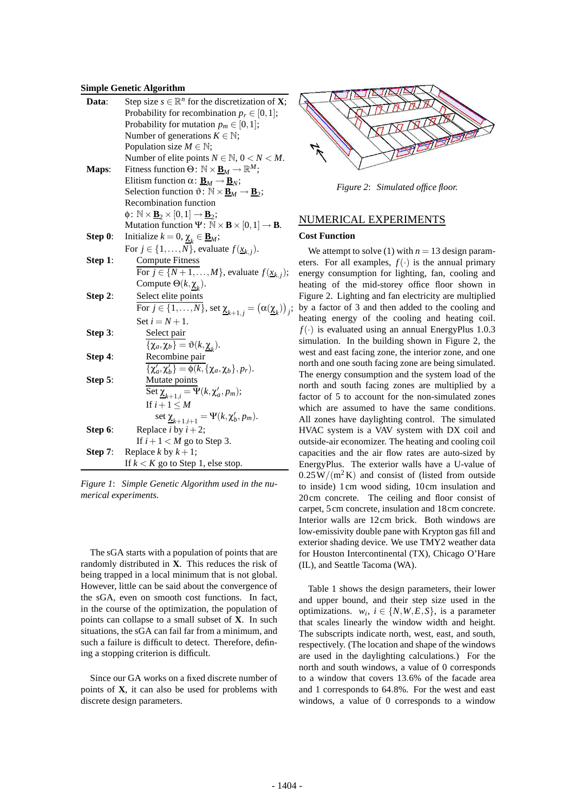#### **Simple Genetic Algorithm**

| Data:   | Step size $s \in \mathbb{R}^n$ for the discretization of <b>X</b> ;                                             |  |  |  |  |  |  |  |  |
|---------|-----------------------------------------------------------------------------------------------------------------|--|--|--|--|--|--|--|--|
|         | Probability for recombination $p_r \in [0,1]$ ;                                                                 |  |  |  |  |  |  |  |  |
|         | Probability for mutation $p_m \in [0,1]$ ;                                                                      |  |  |  |  |  |  |  |  |
|         | Number of generations $K \in \mathbb{N}$ ;                                                                      |  |  |  |  |  |  |  |  |
|         | Population size $M \in \mathbb{N}$ ;                                                                            |  |  |  |  |  |  |  |  |
|         | Number of elite points $N \in \mathbb{N}$ , $0 < N < M$ .                                                       |  |  |  |  |  |  |  |  |
| Maps:   | Fitness function $\Theta: \mathbb{N} \times \underline{\mathbf{B}}_M \to \mathbb{R}^M$ ;                        |  |  |  |  |  |  |  |  |
|         | Elitism function $\alpha: \underline{\mathbf{B}}_M \to \underline{\mathbf{B}}_N$ ;                              |  |  |  |  |  |  |  |  |
|         | Selection function $\vartheta \colon \mathbb{N} \times \underline{\mathbf{B}}_M \to \underline{\mathbf{B}}_2$ ; |  |  |  |  |  |  |  |  |
|         | Recombination function                                                                                          |  |  |  |  |  |  |  |  |
|         | $\phi\colon \mathbb{N} \times \underline{\mathbf{B}}_2 \times [0,1] \to \underline{\mathbf{B}}_2;$              |  |  |  |  |  |  |  |  |
|         | Mutation function $\Psi: \mathbb{N} \times \mathbf{B} \times [0,1] \rightarrow \mathbf{B}$ .                    |  |  |  |  |  |  |  |  |
| Step 0: | Initialize $k = 0$ , $\underline{\chi}_k \in \underline{\mathbf{B}}_M$ ;                                        |  |  |  |  |  |  |  |  |
|         | For $j \in \{1, , N\}$ , evaluate $f(\underline{x}_{k,j})$ .                                                    |  |  |  |  |  |  |  |  |
| Step 1: | <b>Compute Fitness</b>                                                                                          |  |  |  |  |  |  |  |  |
|         | For $j \in \{N+1,\ldots,M\}$ , evaluate $f(\underline{x}_{k,j})$ ;                                              |  |  |  |  |  |  |  |  |
|         | Compute $\Theta(k, \underline{\chi}_{k}).$                                                                      |  |  |  |  |  |  |  |  |
| Step 2: | Select elite points                                                                                             |  |  |  |  |  |  |  |  |
|         | For $j \in \{1, , N\}$ , set $\underline{\chi}_{k+1, j} = (\alpha(\underline{\chi}_k))$                         |  |  |  |  |  |  |  |  |
|         | Set $i = N + 1$ .                                                                                               |  |  |  |  |  |  |  |  |
| Step 3: | Select pair                                                                                                     |  |  |  |  |  |  |  |  |
|         | $\{\chi_a, \chi_b\} = \vartheta(k, \chi_{\nu}).$                                                                |  |  |  |  |  |  |  |  |
| Step 4: | Recombine pair                                                                                                  |  |  |  |  |  |  |  |  |
|         | $\{\chi'_a,\chi'_b\}=\phi(k,\{\chi_a,\chi_b\},p_r).$                                                            |  |  |  |  |  |  |  |  |
| Step 5: |                                                                                                                 |  |  |  |  |  |  |  |  |
|         | Mutate points<br>Set $\underline{\chi}_{k+1,i} = \Psi(k, \chi'_a, p_m);$                                        |  |  |  |  |  |  |  |  |
|         | If $i+1 \leq M$                                                                                                 |  |  |  |  |  |  |  |  |
|         | set $\underline{\chi}_{k+1,i+1} = \Psi(k, \chi'_b, p_m)$ .                                                      |  |  |  |  |  |  |  |  |
| Step 6: | Replace <i>i</i> by $i + 2$ ;                                                                                   |  |  |  |  |  |  |  |  |
|         | If $i+1 < M$ go to Step 3.                                                                                      |  |  |  |  |  |  |  |  |
| Step 7: | Replace $k$ by $k+1$ ;                                                                                          |  |  |  |  |  |  |  |  |
|         | If $k < K$ go to Step 1, else stop.                                                                             |  |  |  |  |  |  |  |  |

*Figure 1*: *Simple Genetic Algorithm used in the numerical experiments.*

The sGA starts with a population of points that are randomly distributed in **X**. This reduces the risk of being trapped in a local minimum that is not global. However, little can be said about the convergence of the sGA, even on smooth cost functions. In fact, in the course of the optimization, the population of points can collapse to a small subset of **X**. In such situations, the sGA can fail far from a minimum, and such a failure is difficult to detect. Therefore, defining a stopping criterion is difficult.

Since our GA works on a fixed discrete number of points of **X**, it can also be used for problems with discrete design parameters.



*Figure 2*: *Simulated office floor.*

# NUMERICAL EXPERIMENTS

### **Cost Function**

 $\hat{i}$ ; by a factor of 3 and then added to the cooling and We attempt to solve (1) with  $n = 13$  design parameters. For all examples,  $f(\cdot)$  is the annual primary energy consumption for lighting, fan, cooling and heating of the mid-storey office floor shown in Figure 2. Lighting and fan electricity are multiplied heating energy of the cooling and heating coil.  $f(\cdot)$  is evaluated using an annual EnergyPlus 1.0.3 simulation. In the building shown in Figure 2, the west and east facing zone, the interior zone, and one north and one south facing zone are being simulated. The energy consumption and the system load of the north and south facing zones are multiplied by a factor of 5 to account for the non-simulated zones which are assumed to have the same conditions. All zones have daylighting control. The simulated HVAC system is a VAV system with DX coil and outside-air economizer. The heating and cooling coil capacities and the air flow rates are auto-sized by EnergyPlus. The exterior walls have a U-value of  $0.25\,\mathrm{W/(m^2\,K)}$  and consist of (listed from outside to inside) 1 cm wood siding, 10 cm insulation and 20 cm concrete. The ceiling and floor consist of carpet, 5 cm concrete, insulation and 18 cm concrete. Interior walls are 12 cm brick. Both windows are low-emissivity double pane with Krypton gas fill and exterior shading device. We use TMY2 weather data for Houston Intercontinental (TX), Chicago O'Hare (IL), and Seattle Tacoma (WA).

Table 1 shows the design parameters, their lower and upper bound, and their step size used in the optimizations.  $w_i$ ,  $i \in \{N, W, E, S\}$ , is a parameter that scales linearly the window width and height. The subscripts indicate north, west, east, and south, respectively. (The location and shape of the windows are used in the daylighting calculations.) For the north and south windows, a value of 0 corresponds to a window that covers 13.6% of the facade area and 1 corresponds to 64.8%. For the west and east windows, a value of 0 corresponds to a window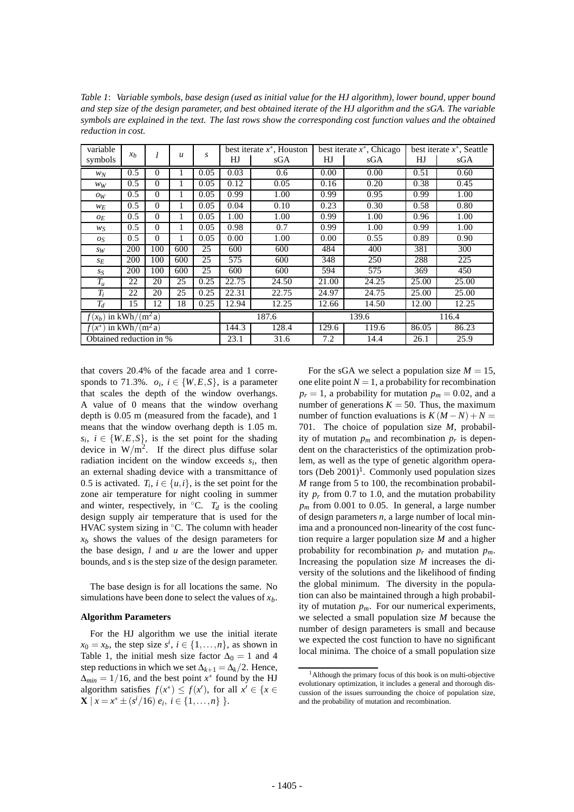*Table 1*: *Variable symbols, base design (used as initial value for the HJ algorithm), lower bound, upper bound and step size of the design parameter, and best obtained iterate of the HJ algorithm and the sGA. The variable symbols are explained in the text. The last rows show the corresponding cost function values and the obtained reduction in cost.*

| variable                                 | x <sub>b</sub> | l        | $\mathcal{U}$ | s     | best iterate $x^*$ , Houston |       | best iterate $x^*$ . Chicago |       | best iterate $x^*$ , Seattle |       |
|------------------------------------------|----------------|----------|---------------|-------|------------------------------|-------|------------------------------|-------|------------------------------|-------|
| symbols                                  |                |          |               |       | HJ                           | sGA   | HJ                           | sGA   | HJ                           | sGA   |
| $W_N$                                    | 0.5            | $\Omega$ | 1             | 0.05  | 0.03                         | 0.6   | 0.00                         | 0.00  | 0.51                         | 0.60  |
| WW                                       | 0.5            | $\Omega$ | 1             | 0.05  | 0.12                         | 0.05  | 0.16                         | 0.20  | 0.38                         | 0.45  |
| OW                                       | 0.5            | $\Omega$ | 1             | 0.05  | 0.99                         | 1.00  | 0.99                         | 0.95  | 0.99                         | 1.00  |
| $W_E$                                    | 0.5            | $\Omega$ | 1             | 0.05  | 0.04                         | 0.10  | 0.23                         | 0.30  | 0.58                         | 0.80  |
| $O_E$                                    | 0.5            | $\Omega$ | 1             | 0.05  | 1.00                         | 1.00  | 0.99                         | 1.00  | 0.96                         | 1.00  |
| $W_S$                                    | 0.5            | $\Omega$ | 1             | 0.05  | 0.98                         | 0.7   | 0.99                         | 1.00  | 0.99                         | 1.00  |
| $O_{S}$                                  | 0.5            | $\Omega$ | 1             | 0.05  | 0.00                         | 1.00  | 0.00                         | 0.55  | 0.89                         | 0.90  |
| SW                                       | 200            | 100      | 600           | 25    | 600                          | 600   | 484                          | 400   | 381                          | 300   |
| $S_E$                                    | 200            | 100      | 600           | 25    | 575                          | 600   | 348                          | 250   | 288                          | 225   |
| $S_{S}$                                  | 200            | 100      | 600           | 25    | 600                          | 600   | 594                          | 575   | 369                          | 450   |
| $T_u$                                    | 22             | 20       | 25            | 0.25  | 22.75                        | 24.50 | 21.00                        | 24.25 | 25.00                        | 25.00 |
| $T_i$                                    | 22             | 20       | 25            | 0.25  | 22.31                        | 22.75 | 24.97                        | 24.75 | 25.00                        | 25.00 |
| $T_d$                                    | 15             | 12       | 18            | 0.25  | 12.94                        | 12.25 | 12.66                        | 14.50 | 12.00                        | 12.25 |
| $f(x_b)$ in k $\sqrt{\frac{W_h}{m^2 a}}$ |                |          |               | 187.6 |                              | 139.6 |                              | 116.4 |                              |       |
| $f(x^*)$ in kWh/(m <sup>2</sup> a)       |                |          |               | 144.3 | 128.4                        | 129.6 | 119.6                        | 86.05 | 86.23                        |       |
| Obtained reduction in %                  |                |          |               | 23.1  | 31.6                         | 7.2   | 14.4                         | 26.1  | 25.9                         |       |

that covers 20.4% of the facade area and 1 corresponds to 71.3%.  $o_i$ ,  $i \in \{W, E, S\}$ , is a parameter that scales the depth of the window overhangs. A value of 0 means that the window overhang depth is 0.05 m (measured from the facade), and 1 means that the window overhang depth is 1.05 m.  $s_i$ ,  $i \in \{W, E, S\}$ , is the set point for the shading device in  $W/m^2$ . If the direct plus diffuse solar radiation incident on the window exceeds  $s_i$ , then an external shading device with a transmittance of 0.5 is activated.  $T_i$ ,  $i \in \{u, i\}$ , is the set point for the zone air temperature for night cooling in summer and winter, respectively, in  $°C$ .  $T_d$  is the cooling design supply air temperature that is used for the HVAC system sizing in °C. The column with header  $x<sub>b</sub>$  shows the values of the design parameters for the base design, *l* and *u* are the lower and upper bounds, and *s* is the step size of the design parameter.

The base design is for all locations the same. No simulations have been done to select the values of  $x<sub>b</sub>$ .

#### **Algorithm Parameters**

For the HJ algorithm we use the initial iterate  $x_0 = x_b$ , the step size  $s^i$ ,  $i \in \{1, ..., n\}$ , as shown in Table 1, the initial mesh size factor  $\Delta_0 = 1$  and 4 step reductions in which we set  $\Delta_{k+1} = \Delta_k/2$ . Hence,  $\Delta_{min} = 1/16$ , and the best point *x*<sup>\*</sup> found by the HJ algorithm satisfies  $f(x^*) \leq f(x')$ , for all  $x' \in \{x \in$  $\mathbf{X} \mid x = x^* \pm (s^i/16) \ e_i, \ i \in \{1, \ldots, n\} \ \}.$ 

For the sGA we select a population size  $M = 15$ , one elite point  $N = 1$ , a probability for recombination  $p_r = 1$ , a probability for mutation  $p_m = 0.02$ , and a number of generations  $K = 50$ . Thus, the maximum number of function evaluations is  $K(M-N) + N =$ 701. The choice of population size *M*, probability of mutation  $p_m$  and recombination  $p_r$  is dependent on the characteristics of the optimization problem, as well as the type of genetic algorithm operators (Deb  $2001$ <sup>1</sup>. Commonly used population sizes *M* range from 5 to 100, the recombination probability  $p_r$  from 0.7 to 1.0, and the mutation probability  $p_m$  from 0.001 to 0.05. In general, a large number of design parameters *n*, a large number of local minima and a pronounced non-linearity of the cost function require a larger population size *M* and a higher probability for recombination  $p_r$  and mutation  $p_m$ . Increasing the population size *M* increases the diversity of the solutions and the likelihood of finding the global minimum. The diversity in the population can also be maintained through a high probability of mutation  $p_m$ . For our numerical experiments, we selected a small population size *M* because the number of design parameters is small and because we expected the cost function to have no significant local minima. The choice of a small population size

<sup>&</sup>lt;sup>1</sup>Although the primary focus of this book is on multi-objective evolutionary optimization, it includes a general and thorough discussion of the issues surrounding the choice of population size, and the probability of mutation and recombination.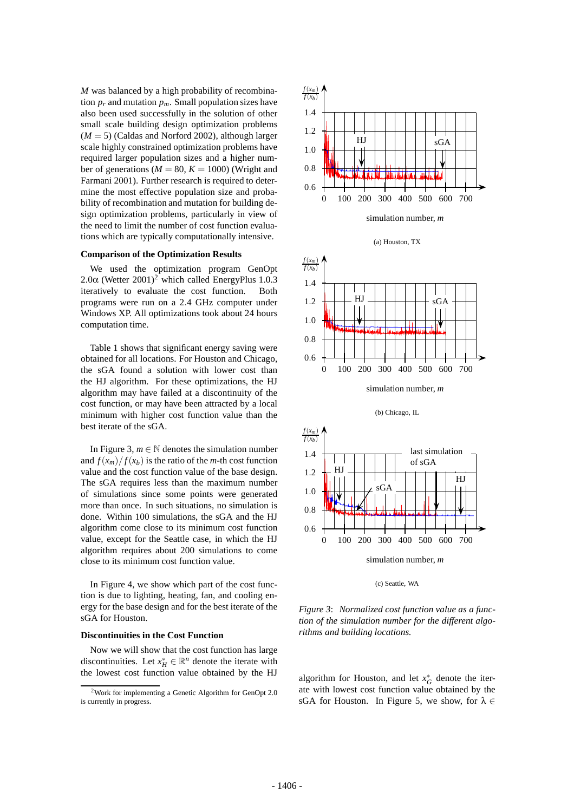*M* was balanced by a high probability of recombination  $p_r$  and mutation  $p_m$ . Small population sizes have also been used successfully in the solution of other small scale building design optimization problems  $(M = 5)$  (Caldas and Norford 2002), although larger scale highly constrained optimization problems have required larger population sizes and a higher number of generations ( $M = 80$ ,  $K = 1000$ ) (Wright and Farmani 2001). Further research is required to determine the most effective population size and probability of recombination and mutation for building design optimization problems, particularly in view of the need to limit the number of cost function evaluations which are typically computationally intensive.

#### **Comparison of the Optimization Results**

We used the optimization program GenOpt 2.0 $\alpha$  (Wetter 2001)<sup>2</sup> which called EnergyPlus 1.0.3 iteratively to evaluate the cost function. Both programs were run on a 2.4 GHz computer under Windows XP. All optimizations took about 24 hours computation time.

Table 1 shows that significant energy saving were obtained for all locations. For Houston and Chicago, the sGA found a solution with lower cost than the HJ algorithm. For these optimizations, the HJ algorithm may have failed at a discontinuity of the cost function, or may have been attracted by a local minimum with higher cost function value than the best iterate of the sGA.

In Figure 3,  $m \in \mathbb{N}$  denotes the simulation number and  $f(x_m)/f(x_b)$  is the ratio of the *m*-th cost function value and the cost function value of the base design. The sGA requires less than the maximum number of simulations since some points were generated more than once. In such situations, no simulation is done. Within 100 simulations, the sGA and the HJ algorithm come close to its minimum cost function value, except for the Seattle case, in which the HJ algorithm requires about 200 simulations to come close to its minimum cost function value.

In Figure 4, we show which part of the cost function is due to lighting, heating, fan, and cooling energy for the base design and for the best iterate of the sGA for Houston.

#### **Discontinuities in the Cost Function**

Now we will show that the cost function has large discontinuities. Let  $x_H^* \in \mathbb{R}^n$  denote the iterate with the lowest cost function value obtained by the HJ



(a) Houston, TX



(b) Chicago, IL



(c) Seattle, WA

*Figure 3*: *Normalized cost function value as a function of the simulation number for the different algorithms and building locations.*

algorithm for Houston, and let  $x_G^*$  denote the iterate with lowest cost function value obtained by the sGA for Houston. In Figure 5, we show, for  $\lambda \in$ 

<sup>2</sup>Work for implementing a Genetic Algorithm for GenOpt 2.0 is currently in progress.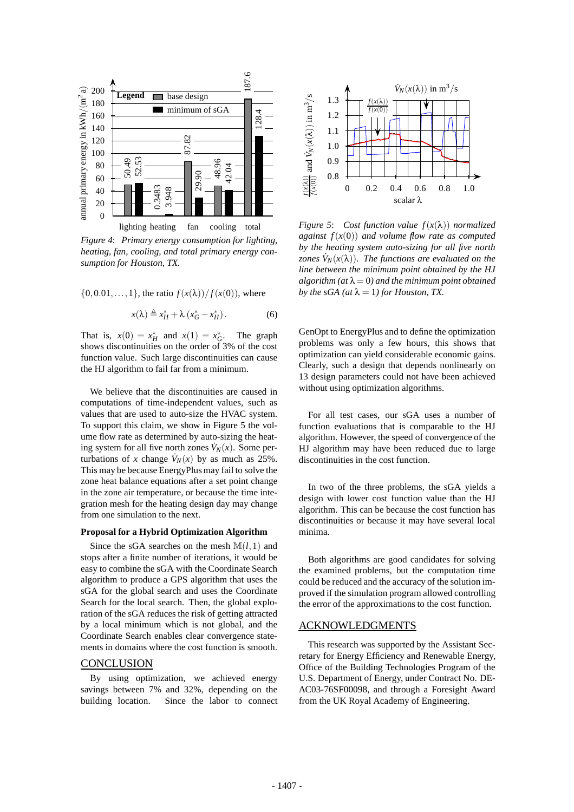

*Figure 4*: *Primary energy consumption for lighting, heating, fan, cooling, and total primary energy consumption for Houston, TX.*

$$
{0,0.01,..., 1}
$$
, the ratio  $f(x(\lambda))/f(x(0))$ , where

$$
x(\lambda) \stackrel{\Delta}{=} x_H^* + \lambda \left( x_G^* - x_H^* \right). \tag{6}
$$

That is,  $x(0) = x_H^*$  and  $x(1) = x_G^*$ . The graph shows discontinuities on the order of 3% of the cost function value. Such large discontinuities can cause the HJ algorithm to fail far from a minimum.

We believe that the discontinuities are caused in computations of time-independent values, such as values that are used to auto-size the HVAC system. To support this claim, we show in Figure 5 the volume flow rate as determined by auto-sizing the heating system for all five north zones  $\dot{V}_N(x)$ . Some perturbations of *x* change  $\dot{V}_N(x)$  by as much as 25%. This may be because EnergyPlus may fail to solve the zone heat balance equations after a set point change in the zone air temperature, or because the time integration mesh for the heating design day may change from one simulation to the next.

#### **Proposal for a Hybrid Optimization Algorithm**

Since the sGA searches on the mesh  $M(l,1)$  and stops after a finite number of iterations, it would be easy to combine the sGA with the Coordinate Search algorithm to produce a GPS algorithm that uses the sGA for the global search and uses the Coordinate Search for the local search. Then, the global exploration of the sGA reduces the risk of getting attracted by a local minimum which is not global, and the Coordinate Search enables clear convergence statements in domains where the cost function is smooth.

# **CONCLUSION**

By using optimization, we achieved energy savings between 7% and 32%, depending on the building location. Since the labor to connect



*Figure 5*: *Cost function value f*(*x*(λ)) *normalized against f*(*x*(0)) *and volume flow rate as computed by the heating system auto-sizing for all five north zones*  $\dot{V}_N(x(\lambda))$ *. The functions are evaluated on the line between the minimum point obtained by the HJ*  $algorithm (at \lambda = 0)$  and the minimum point obtained *by the sGA (at*  $\lambda = 1$ *) for Houston, TX.* 

GenOpt to EnergyPlus and to define the optimization problems was only a few hours, this shows that optimization can yield considerable economic gains. Clearly, such a design that depends nonlinearly on 13 design parameters could not have been achieved without using optimization algorithms.

For all test cases, our sGA uses a number of function evaluations that is comparable to the HJ algorithm. However, the speed of convergence of the HJ algorithm may have been reduced due to large discontinuities in the cost function.

In two of the three problems, the sGA yields a design with lower cost function value than the HJ algorithm. This can be because the cost function has discontinuities or because it may have several local minima.

Both algorithms are good candidates for solving the examined problems, but the computation time could be reduced and the accuracy of the solution improved if the simulation program allowed controlling the error of the approximations to the cost function.

#### ACKNOWLEDGMENTS

This research was supported by the Assistant Secretary for Energy Efficiency and Renewable Energy, Office of the Building Technologies Program of the U.S. Department of Energy, under Contract No. DE-AC03-76SF00098, and through a Foresight Award from the UK Royal Academy of Engineering.